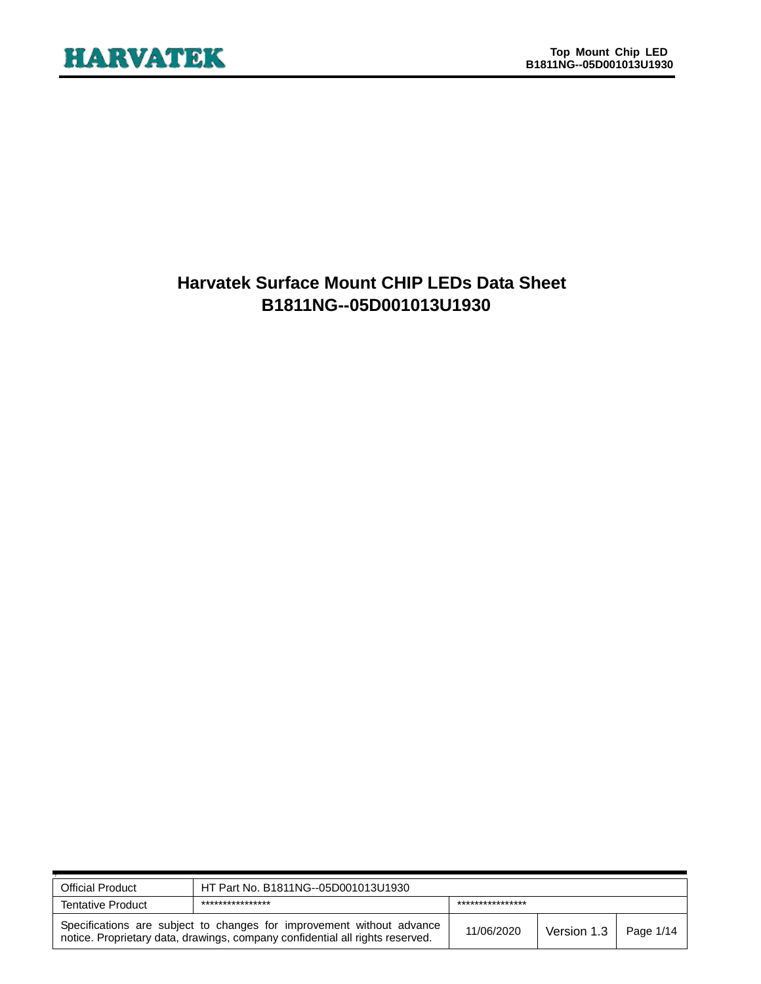# **Harvatek Surface Mount CHIP LEDs Data Sheet B1811NG--05D001013U1930**

| <b>Official Product</b>                                                                                                                                | HT Part No. B1811NG--05D001013U1930  |            |             |           |  |
|--------------------------------------------------------------------------------------------------------------------------------------------------------|--------------------------------------|------------|-------------|-----------|--|
| <b>Tentative Product</b>                                                                                                                               | ****************<br>**************** |            |             |           |  |
| Specifications are subject to changes for improvement without advance<br>notice. Proprietary data, drawings, company confidential all rights reserved. |                                      | 11/06/2020 | Version 1.3 | Page 1/14 |  |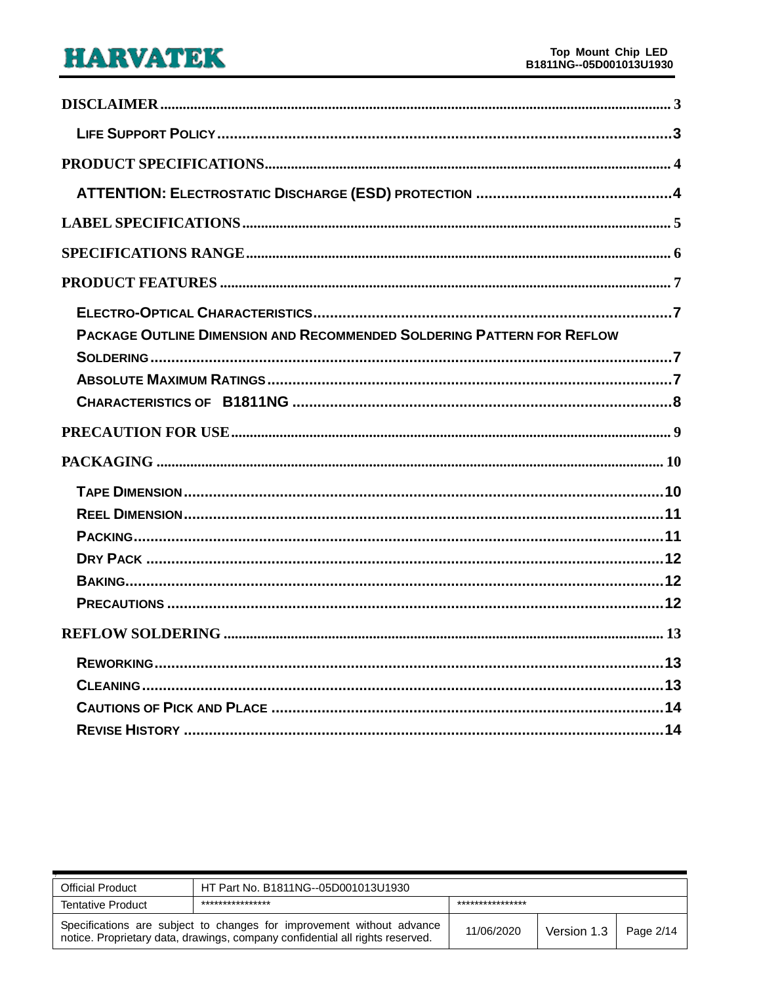| PACKAGE OUTLINE DIMENSION AND RECOMMENDED SOLDERING PATTERN FOR REFLOW |
|------------------------------------------------------------------------|
|                                                                        |
|                                                                        |
|                                                                        |
|                                                                        |
|                                                                        |
|                                                                        |
|                                                                        |
|                                                                        |
|                                                                        |
|                                                                        |
|                                                                        |
|                                                                        |
|                                                                        |
|                                                                        |
|                                                                        |
|                                                                        |

| <b>Official Product</b>                                                                                                                                | HT Part No. B1811NG--05D001013U1930  |            |             |           |  |
|--------------------------------------------------------------------------------------------------------------------------------------------------------|--------------------------------------|------------|-------------|-----------|--|
| <b>Tentative Product</b>                                                                                                                               | ****************<br>**************** |            |             |           |  |
| Specifications are subject to changes for improvement without advance<br>notice. Proprietary data, drawings, company confidential all rights reserved. |                                      | 11/06/2020 | Version 1.3 | Page 2/14 |  |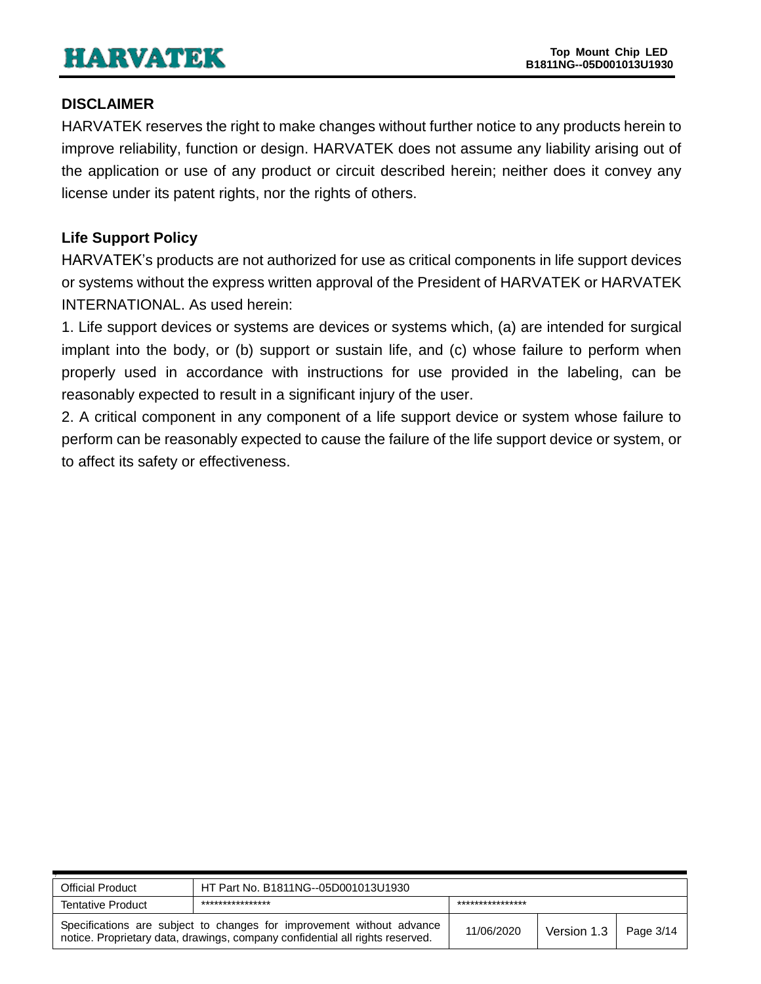# <span id="page-2-0"></span>**DISCLAIMER**

HARVATEK reserves the right to make changes without further notice to any products herein to improve reliability, function or design. HARVATEK does not assume any liability arising out of the application or use of any product or circuit described herein; neither does it convey any license under its patent rights, nor the rights of others.

# <span id="page-2-1"></span>**Life Support Policy**

HARVATEK's products are not authorized for use as critical components in life support devices or systems without the express written approval of the President of HARVATEK or HARVATEK INTERNATIONAL. As used herein:

1. Life support devices or systems are devices or systems which, (a) are intended for surgical implant into the body, or (b) support or sustain life, and (c) whose failure to perform when properly used in accordance with instructions for use provided in the labeling, can be reasonably expected to result in a significant injury of the user.

2. A critical component in any component of a life support device or system whose failure to perform can be reasonably expected to cause the failure of the life support device or system, or to affect its safety or effectiveness.

| Official Product         | HT Part No. B1811NG--05D001013U1930                                                                                                                    |            |                             |  |  |
|--------------------------|--------------------------------------------------------------------------------------------------------------------------------------------------------|------------|-----------------------------|--|--|
| <b>Tentative Product</b> | ****************<br>***************                                                                                                                    |            |                             |  |  |
|                          | Specifications are subject to changes for improvement without advance<br>notice. Proprietary data, drawings, company confidential all rights reserved. | 11/06/2020 | Version $1.3$   Page $3/14$ |  |  |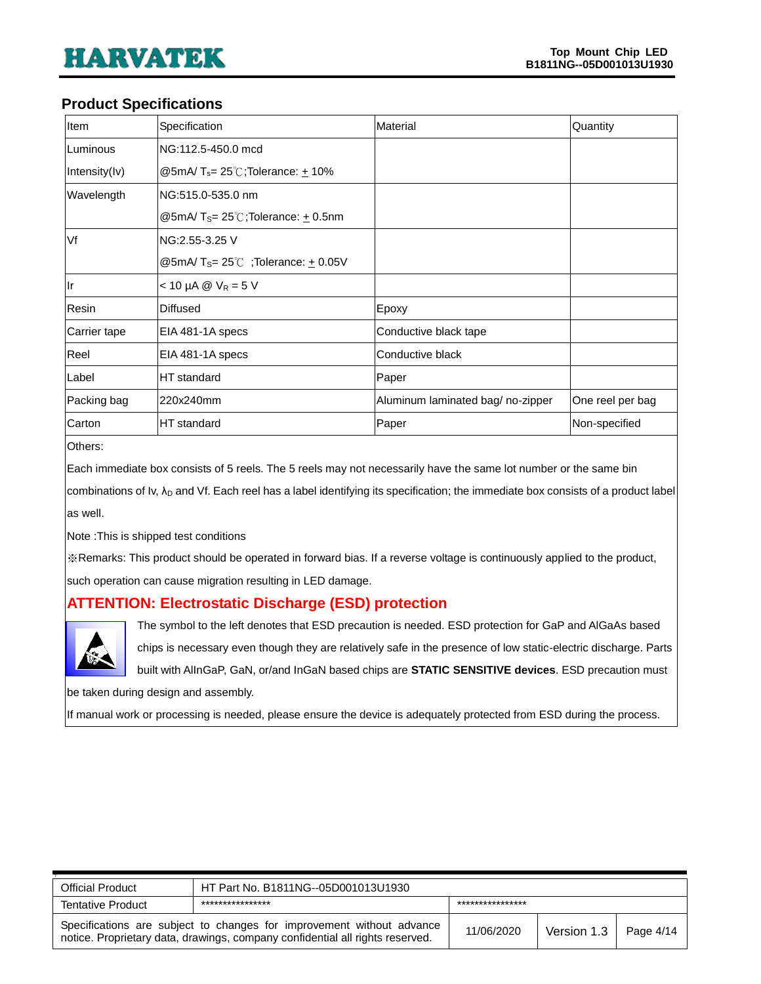#### <span id="page-3-0"></span>**Product Specifications**

| Item          | Specification                                               | Material                          | Quantity         |
|---------------|-------------------------------------------------------------|-----------------------------------|------------------|
| Luminous      | NG:112.5-450.0 mcd                                          |                                   |                  |
| Intensity(Iv) | @5mA/ $T_s = 25^\circ$ C;Tolerance: +10%                    |                                   |                  |
| Wavelength    | NG:515.0-535.0 nm                                           |                                   |                  |
|               | @5mA/T <sub>S</sub> = $25^{\circ}$ C;Tolerance: $\pm$ 0.5nm |                                   |                  |
| Vf            | NG:2.55-3.25 V                                              |                                   |                  |
|               | @5mA/T <sub>S</sub> = 25°C; Tolerance: $\pm$ 0.05V          |                                   |                  |
| llr           | $< 10 \mu A \otimes V_R = 5 V$                              |                                   |                  |
| Resin         | <b>Diffused</b>                                             | Epoxy                             |                  |
| Carrier tape  | EIA 481-1A specs                                            | Conductive black tape             |                  |
| Reel          | EIA 481-1A specs                                            | Conductive black                  |                  |
| Label         | HT standard                                                 | Paper                             |                  |
| Packing bag   | 220x240mm                                                   | Aluminum laminated bag/ no-zipper | One reel per bag |
| Carton        | HT standard                                                 | Paper                             | Non-specified    |

Others:

Each immediate box consists of 5 reels. The 5 reels may not necessarily have the same lot number or the same bin

combinations of Iv, λ<sub>D</sub> and Vf. Each reel has a label identifying its specification; the immediate box consists of a product label as well.

Note :This is shipped test conditions

※Remarks: This product should be operated in forward bias. If a reverse voltage is continuously applied to the product,

such operation can cause migration resulting in LED damage.

#### <span id="page-3-1"></span>**ATTENTION: Electrostatic Discharge (ESD) protection**



The symbol to the left denotes that ESD precaution is needed. ESD protection for GaP and AlGaAs based

chips is necessary even though they are relatively safe in the presence of low static-electric discharge. Parts

built with AlInGaP, GaN, or/and InGaN based chips are **STATIC SENSITIVE devices**. ESD precaution must

be taken during design and assembly.

If manual work or processing is needed, please ensure the device is adequately protected from ESD during the process.

| <b>Official Product</b>  | HT Part No. B1811NG--05D001013U1930                                                                                                                    |            |             |           |  |
|--------------------------|--------------------------------------------------------------------------------------------------------------------------------------------------------|------------|-------------|-----------|--|
| <b>Tentative Product</b> | ****************<br>****************                                                                                                                   |            |             |           |  |
|                          | Specifications are subject to changes for improvement without advance<br>notice. Proprietary data, drawings, company confidential all rights reserved. | 11/06/2020 | Version 1.3 | Page 4/14 |  |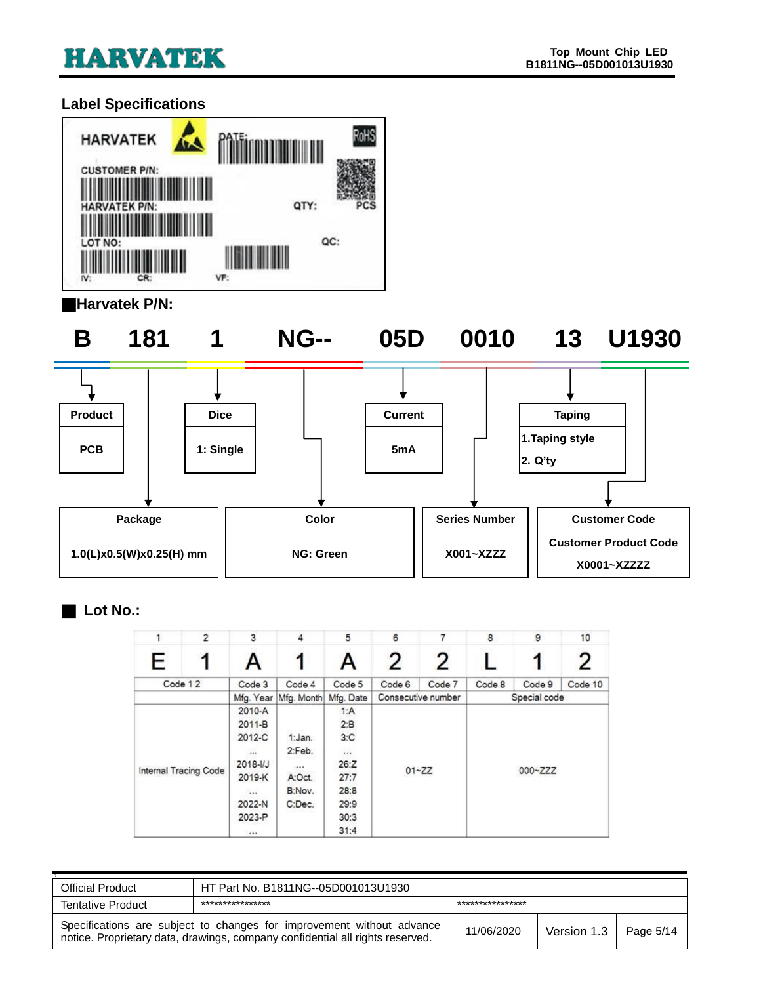# <span id="page-4-0"></span>**Label Specifications**



#### ■**Harvatek P/N:**

**B 181 1 NG-- 05D 0010 13 U1930**





### ■ **Lot No.:**

|   | $\overline{2}$        | 3            | 4          | 5         | 6      | 7                  | 8      | 9            | 10      |
|---|-----------------------|--------------|------------|-----------|--------|--------------------|--------|--------------|---------|
| E |                       | A            |            | A         | 2      | 2                  |        | 1            | 2       |
|   | Code 12               | Code 3       | Code 4     | Code 5    | Code 6 | Code 7             | Code 8 | Code 9       | Code 10 |
|   |                       | Mfg. Year    | Mfg. Month | Mfg. Date |        | Consecutive number |        | Special code |         |
|   |                       | 2010-A       |            | 1:A       |        |                    |        |              |         |
|   |                       | 2011-B       |            | 2:B       |        |                    |        |              |         |
|   |                       | 2012-C       | 1:Jan.     | 3:C       |        |                    |        |              |         |
|   |                       |              | 2:Feb.     | 1.11      |        |                    |        |              |         |
|   |                       | $2018 - 1/J$ | 14.4.9     | 26:Z      |        |                    |        |              |         |
|   | Internal Tracing Code | 2019-K       | A:Oct.     | 27:7      |        | $01 - ZZ$          |        | 000~ZZZ      |         |
|   |                       | $\cdots$     | B:Nov.     | 28:8      |        |                    |        |              |         |
|   |                       | 2022-N       | C:Dec.     | 29:9      |        |                    |        |              |         |
|   |                       | 2023-P       |            | 30:3      |        |                    |        |              |         |
|   |                       | 444          |            | 31:4      |        |                    |        |              |         |

| <b>Official Product</b>  | HT Part No. B1811NG--05D001013U1930                                                                                                                    |            |             |           |  |
|--------------------------|--------------------------------------------------------------------------------------------------------------------------------------------------------|------------|-------------|-----------|--|
| <b>Tentative Product</b> | ****************<br>***************                                                                                                                    |            |             |           |  |
|                          | Specifications are subject to changes for improvement without advance<br>notice. Proprietary data, drawings, company confidential all rights reserved. | 11/06/2020 | Version 1.3 | Page 5/14 |  |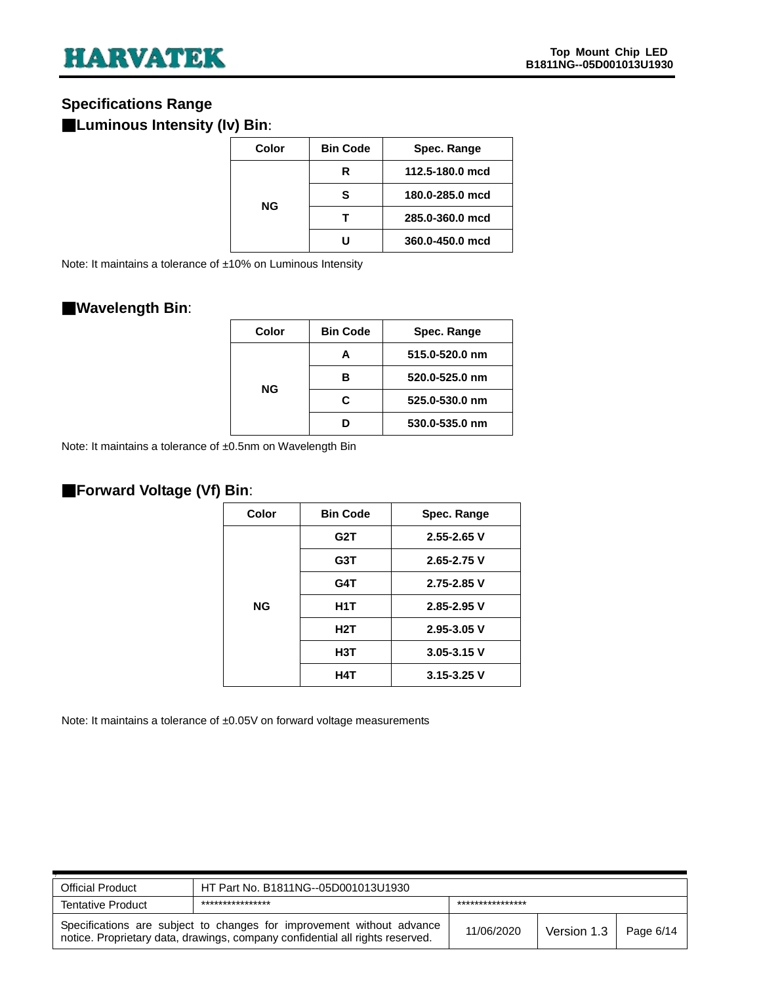# <span id="page-5-0"></span>**Specifications Range**

# ■**Luminous Intensity (Iv) Bin**:

| Color     | <b>Bin Code</b> | Spec. Range     |
|-----------|-----------------|-----------------|
|           |                 |                 |
| <b>NG</b> | R               | 112.5-180.0 mcd |
|           | s               | 180.0-285.0 mcd |
|           |                 |                 |
|           |                 | 285.0-360.0 mcd |
|           |                 | 360.0-450.0 mcd |

Note: It maintains a tolerance of ±10% on Luminous Intensity

#### ■**Wavelength Bin**:

| Color     | <b>Bin Code</b> | Spec. Range    |
|-----------|-----------------|----------------|
| <b>NG</b> |                 | 515.0-520.0 nm |
|           |                 | 520.0-525.0 nm |
|           | c               | 525.0-530.0 nm |
|           |                 | 530.0-535.0 nm |

Note: It maintains a tolerance of ±0.5nm on Wavelength Bin

# ■**Forward Voltage (Vf) Bin**:

| Color | <b>Bin Code</b>  | Spec. Range     |  |  |
|-------|------------------|-----------------|--|--|
|       | G2T              | $2.55 - 2.65$ V |  |  |
|       | G3T              | 2.65-2.75 V     |  |  |
|       | G4T              | 2.75-2.85 V     |  |  |
| NG    | H <sub>1</sub> T | 2.85-2.95 V     |  |  |
|       | H2T              | $2.95 - 3.05$ V |  |  |
|       | H3T              | $3.05 - 3.15$ V |  |  |
|       | H4T              | $3.15 - 3.25$ V |  |  |
|       |                  |                 |  |  |

Note: It maintains a tolerance of ±0.05V on forward voltage measurements

| <b>Official Product</b>  | HT Part No. B1811NG--05D001013U1930                                                                                                                    |            |             |           |  |
|--------------------------|--------------------------------------------------------------------------------------------------------------------------------------------------------|------------|-------------|-----------|--|
| <b>Tentative Product</b> | ****************<br>****************                                                                                                                   |            |             |           |  |
|                          | Specifications are subject to changes for improvement without advance<br>notice. Proprietary data, drawings, company confidential all rights reserved. | 11/06/2020 | Version 1.3 | Page 6/14 |  |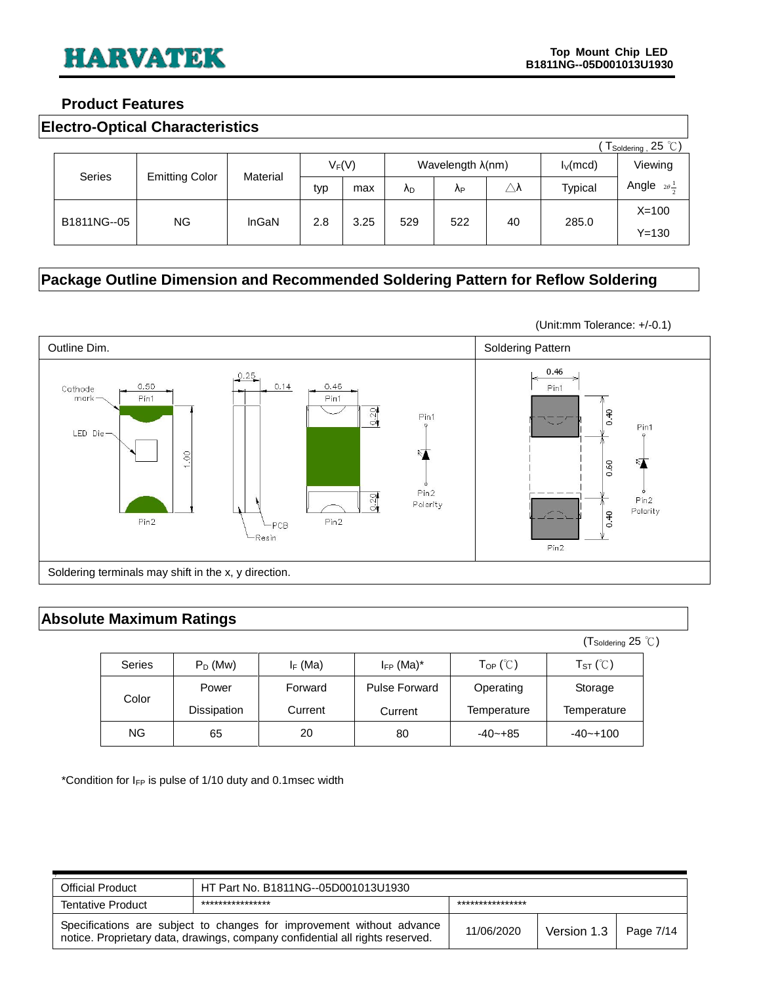#### <span id="page-6-0"></span>**Product Features**

<span id="page-6-1"></span>

|               | $T_{\text{Soldering}}$ , 25 °C) |          |          |      |     |                           |                     |                |                             |
|---------------|---------------------------------|----------|----------|------|-----|---------------------------|---------------------|----------------|-----------------------------|
|               |                                 |          | $V_F(V)$ |      |     | Wavelength $\lambda$ (nm) |                     | $I_V$ (mcd)    | Viewing                     |
| <b>Series</b> | <b>Emitting Color</b>           | Material | typ      | max  | ΛD  | ΛP                        | $\triangle \lambda$ | <b>Typical</b> | Angle $2\theta \frac{1}{2}$ |
|               | NG.                             | InGaN    | 2.8      | 3.25 | 529 | 522                       | 40                  | 285.0          | $X = 100$                   |
| B1811NG--05   |                                 |          |          |      |     |                           |                     |                | $Y = 130$                   |

# <span id="page-6-2"></span>**Package Outline Dimension and Recommended Soldering Pattern for Reflow Soldering**



#### <span id="page-6-3"></span>**Absolute Maximum Ratings**

|               |             |            |                      |                                 | $(T_{\text{Soldering}} 25^{\circ} \text{C})$ |  |
|---------------|-------------|------------|----------------------|---------------------------------|----------------------------------------------|--|
| <b>Series</b> | $P_D$ (Mw)  | $I_F$ (Ma) | $I_{FP}$ (Ma) $*$    | $\mathsf{Top}$ ( $\mathbb{C}$ ) | $T_{ST}$ ( $\degree$ C)                      |  |
| Color         | Power       | Forward    | <b>Pulse Forward</b> | Operating                       | Storage                                      |  |
|               | Dissipation | Current    | Current              | Temperature                     | Temperature                                  |  |
| NG.           | 65          | 20         | 80                   | $-40 - +85$                     | $-40 - +100$                                 |  |

\*Condition for  $I_{FP}$  is pulse of 1/10 duty and 0.1msec width

| <b>Official Product</b>                                                                                                                                | HT Part No. B1811NG--05D001013U1930  |            |             |           |  |
|--------------------------------------------------------------------------------------------------------------------------------------------------------|--------------------------------------|------------|-------------|-----------|--|
| <b>Tentative Product</b>                                                                                                                               | ****************<br>**************** |            |             |           |  |
| Specifications are subject to changes for improvement without advance<br>notice. Proprietary data, drawings, company confidential all rights reserved. |                                      | 11/06/2020 | Version 1.3 | Page 7/14 |  |

(Unit:mm Tolerance: +/-0.1)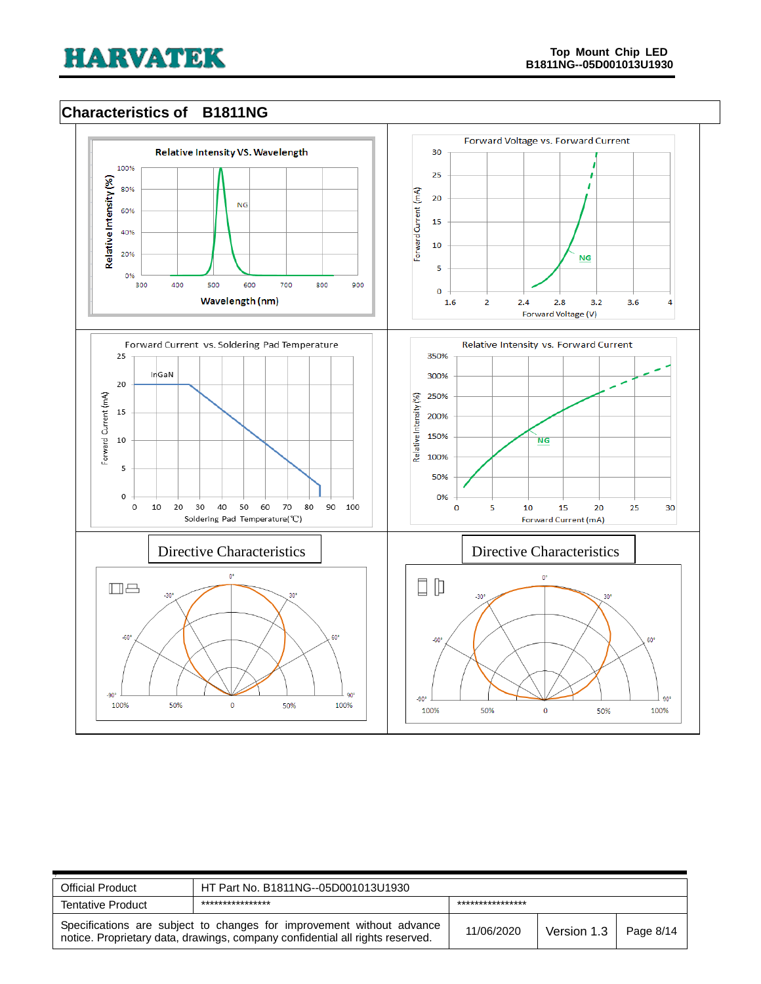# <span id="page-7-0"></span>**Characteristics of B1811NG**



| <b>Official Product</b>                                                                                                                                | HT Part No. B1811NG--05D001013U1930 |                  |             |           |  |
|--------------------------------------------------------------------------------------------------------------------------------------------------------|-------------------------------------|------------------|-------------|-----------|--|
| ****************<br><b>Tentative Product</b>                                                                                                           |                                     | **************** |             |           |  |
| Specifications are subject to changes for improvement without advance<br>notice. Proprietary data, drawings, company confidential all rights reserved. |                                     | 11/06/2020       | Version 1.3 | Page 8/14 |  |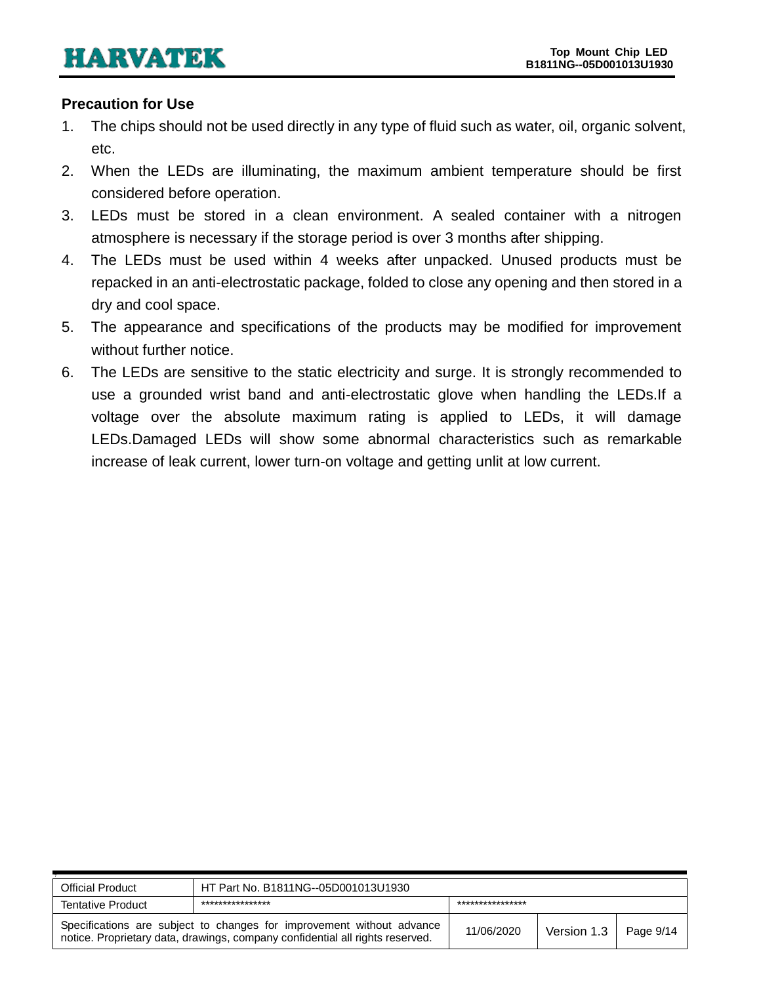#### <span id="page-8-0"></span>**Precaution for Use**

- 1. The chips should not be used directly in any type of fluid such as water, oil, organic solvent, etc.
- 2. When the LEDs are illuminating, the maximum ambient temperature should be first considered before operation.
- 3. LEDs must be stored in a clean environment. A sealed container with a nitrogen atmosphere is necessary if the storage period is over 3 months after shipping.
- 4. The LEDs must be used within 4 weeks after unpacked. Unused products must be repacked in an anti-electrostatic package, folded to close any opening and then stored in a dry and cool space.
- 5. The appearance and specifications of the products may be modified for improvement without further notice.
- 6. The LEDs are sensitive to the static electricity and surge. It is strongly recommended to use a grounded wrist band and anti-electrostatic glove when handling the LEDs.If a voltage over the absolute maximum rating is applied to LEDs, it will damage LEDs.Damaged LEDs will show some abnormal characteristics such as remarkable increase of leak current, lower turn-on voltage and getting unlit at low current.

| <b>Official Product</b>                                                                                                                                | HT Part No. B1811NG--05D001013U1930 |                  |             |             |  |
|--------------------------------------------------------------------------------------------------------------------------------------------------------|-------------------------------------|------------------|-------------|-------------|--|
| <b>Tentative Product</b>                                                                                                                               | ****************                    | **************** |             |             |  |
| Specifications are subject to changes for improvement without advance<br>notice. Proprietary data, drawings, company confidential all rights reserved. |                                     | 11/06/2020       | Version 1.3 | Page $9/14$ |  |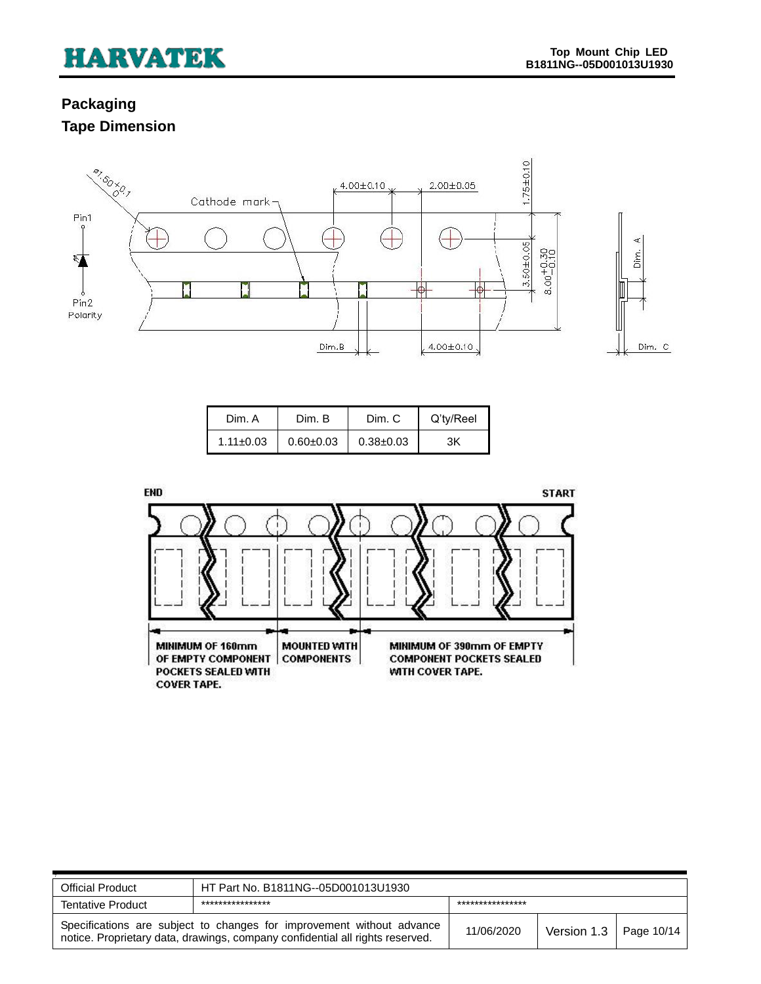# <span id="page-9-1"></span><span id="page-9-0"></span>**Packaging Tape Dimension**



| Dim. A          | Dim. B        | Dim. C        | Q'ty/Reel |
|-----------------|---------------|---------------|-----------|
| $1.11 \pm 0.03$ | $0.60 + 0.03$ | $0.38 + 0.03$ | ЗK        |



| <b>Official Product</b>                                                                                                                                | HT Part No. B1811NG--05D001013U1930 |                  |                          |  |  |
|--------------------------------------------------------------------------------------------------------------------------------------------------------|-------------------------------------|------------------|--------------------------|--|--|
| ****************<br><b>Tentative Product</b>                                                                                                           |                                     | **************** |                          |  |  |
| Specifications are subject to changes for improvement without advance<br>notice. Proprietary data, drawings, company confidential all rights reserved. |                                     | 11/06/2020       | Version 1.3   Page 10/14 |  |  |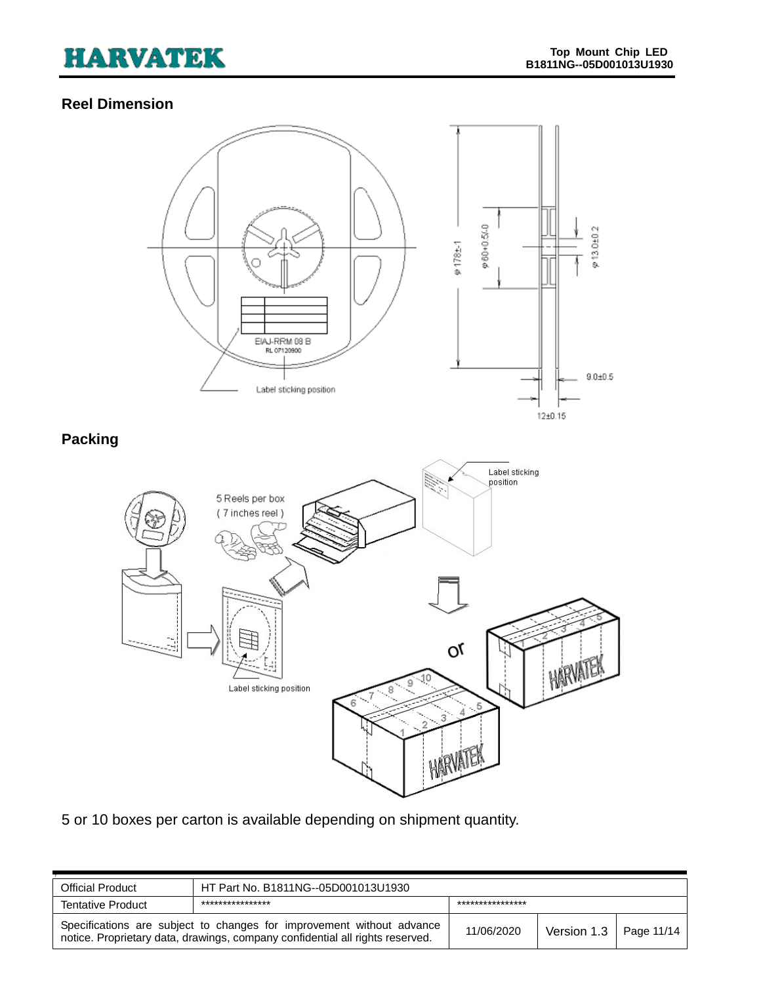# <span id="page-10-0"></span>**Reel Dimension**

<span id="page-10-1"></span>

5 or 10 boxes per carton is available depending on shipment quantity.

| <b>Official Product</b>                                                                                                                                | HT Part No. B1811NG--05D001013U1930 |            |                              |  |  |
|--------------------------------------------------------------------------------------------------------------------------------------------------------|-------------------------------------|------------|------------------------------|--|--|
| ****************<br>****************<br><b>Tentative Product</b>                                                                                       |                                     |            |                              |  |  |
| Specifications are subject to changes for improvement without advance<br>notice. Proprietary data, drawings, company confidential all rights reserved. |                                     | 11/06/2020 | Version $1.3$   Page $11/14$ |  |  |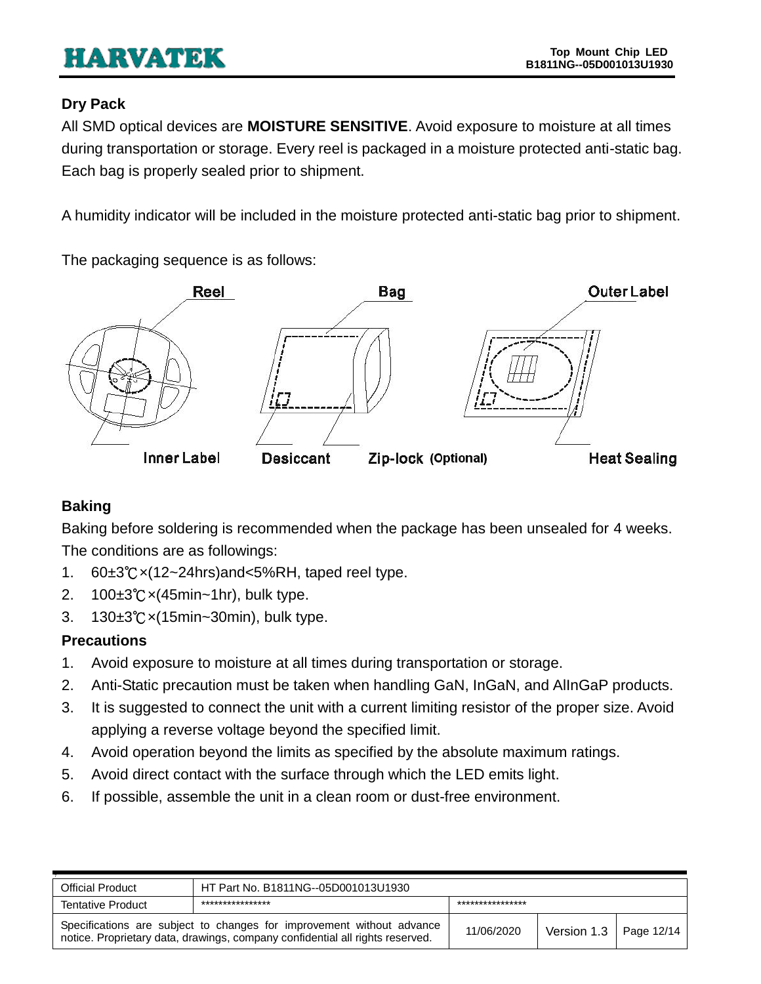# <span id="page-11-0"></span>**Dry Pack**

All SMD optical devices are **MOISTURE SENSITIVE**. Avoid exposure to moisture at all times during transportation or storage. Every reel is packaged in a moisture protected anti-static bag. Each bag is properly sealed prior to shipment.

A humidity indicator will be included in the moisture protected anti-static bag prior to shipment.

The packaging sequence is as follows:



# <span id="page-11-1"></span>**Baking**

Baking before soldering is recommended when the package has been unsealed for 4 weeks. The conditions are as followings:

- 1. 60±3℃×(12~24hrs)and<5%RH, taped reel type.
- 2. 100±3℃×(45min~1hr), bulk type.
- 3. 130±3℃×(15min~30min), bulk type.

# <span id="page-11-2"></span>**Precautions**

- 1. Avoid exposure to moisture at all times during transportation or storage.
- 2. Anti-Static precaution must be taken when handling GaN, InGaN, and AlInGaP products.
- 3. It is suggested to connect the unit with a current limiting resistor of the proper size. Avoid applying a reverse voltage beyond the specified limit.
- 4. Avoid operation beyond the limits as specified by the absolute maximum ratings.
- 5. Avoid direct contact with the surface through which the LED emits light.
- 6. If possible, assemble the unit in a clean room or dust-free environment.

| <b>Official Product</b>                                                                                                                                | HT Part No. B1811NG--05D001013U1930 |            |                               |  |  |
|--------------------------------------------------------------------------------------------------------------------------------------------------------|-------------------------------------|------------|-------------------------------|--|--|
| ***************<br>***************<br><b>Tentative Product</b>                                                                                         |                                     |            |                               |  |  |
| Specifications are subject to changes for improvement without advance<br>notice. Proprietary data, drawings, company confidential all rights reserved. |                                     | 11/06/2020 | Version 1.3 $\mid$ Page 12/14 |  |  |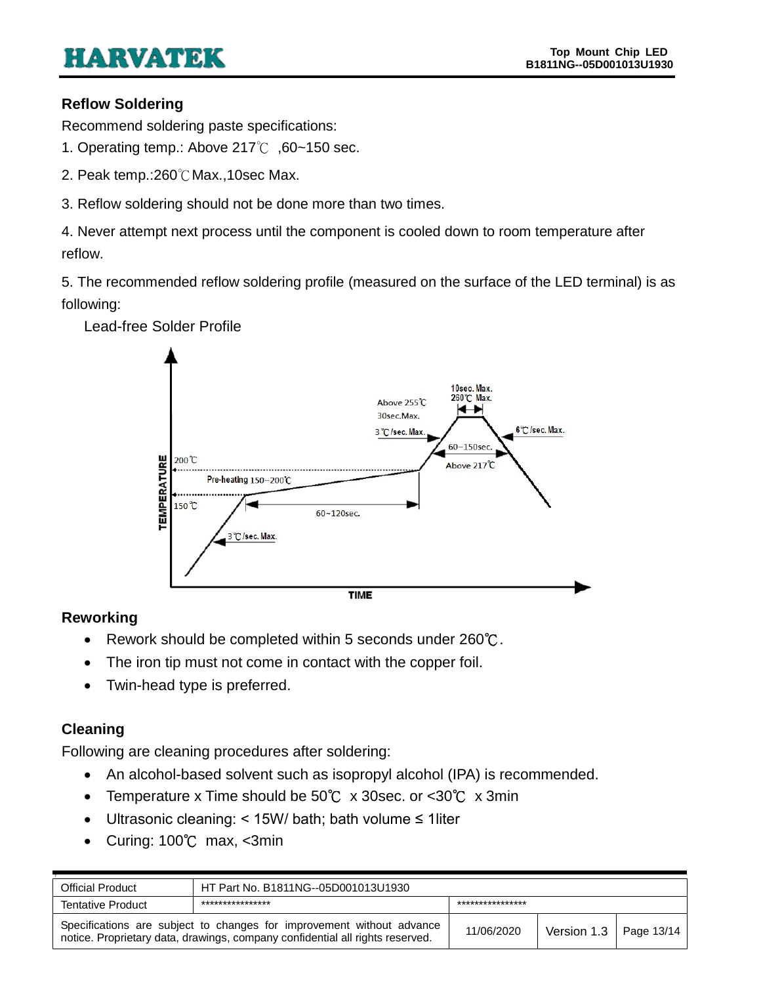### <span id="page-12-0"></span>**Reflow Soldering**

Recommend soldering paste specifications:

- 1. Operating temp.: Above 217℃ ,60~150 sec.
- 2. Peak temp.:260℃Max.,10sec Max.
- 3. Reflow soldering should not be done more than two times.

4. Never attempt next process until the component is cooled down to room temperature after reflow.

5. The recommended reflow soldering profile (measured on the surface of the LED terminal) is as following:



Lead-free Solder Profile

### <span id="page-12-1"></span>**Reworking**

- Rework should be completed within 5 seconds under 260℃.
- The iron tip must not come in contact with the copper foil.
- Twin-head type is preferred.

### <span id="page-12-2"></span>**Cleaning**

Following are cleaning procedures after soldering:

- An alcohol-based solvent such as isopropyl alcohol (IPA) is recommended.
- Temperature x Time should be 50℃ x 30sec. or <30℃ x 3min
- Ultrasonic cleaning: < 15W/ bath; bath volume ≤ 1liter
- Curing: 100℃ max, <3min

| HT Part No. B1811NG--05D001013U1930<br>Official Product                                                                                                |  |            |                              |  |
|--------------------------------------------------------------------------------------------------------------------------------------------------------|--|------------|------------------------------|--|
| ****************<br>****************<br><b>Tentative Product</b>                                                                                       |  |            |                              |  |
| Specifications are subject to changes for improvement without advance<br>notice. Proprietary data, drawings, company confidential all rights reserved. |  | 11/06/2020 | Version $1.3$   Page $13/14$ |  |